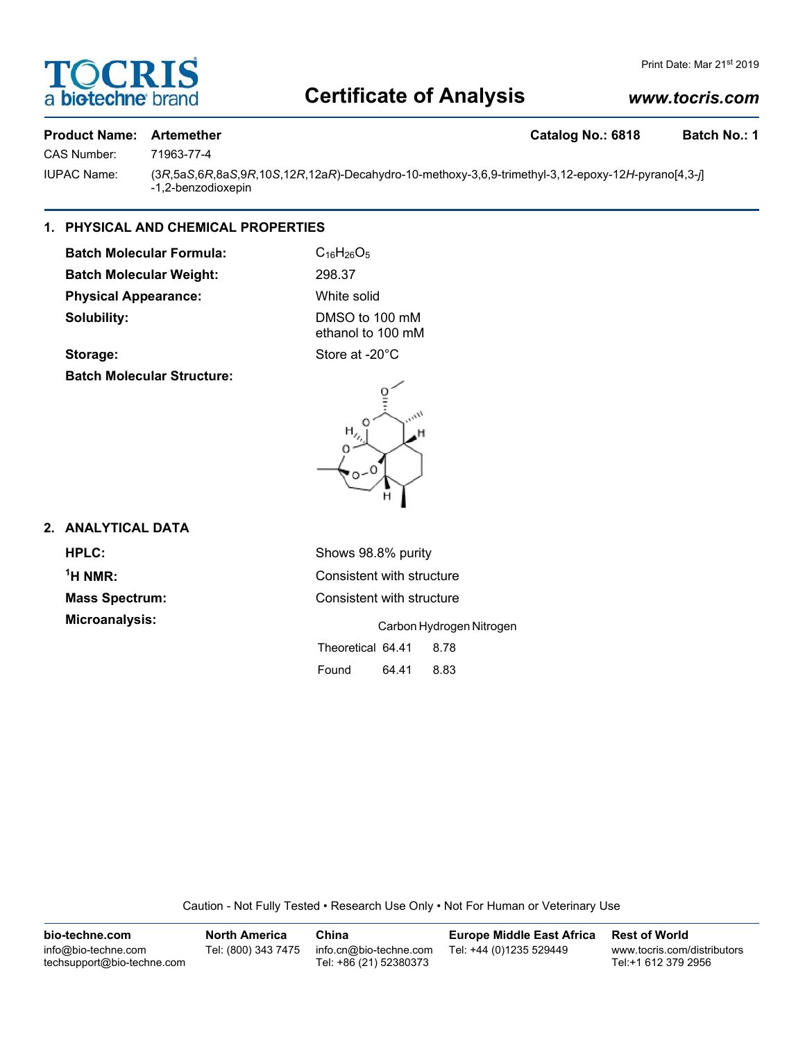# **TOCRIS** bio-techne br

# Print Date: Mar 21st 2019

# **Certificate of Analysis**

# *www.tocris.com*

# Product Name: Artemether **Catalog No.: 6818** Batch No.: 1

CAS Number: 71963-77-4

IUPAC Name: (3*R*,5a*S*,6*R*,8a*S*,9*R*,10*S*,12*R*,12a*R*)-Decahydro-10-methoxy-3,6,9-trimethyl-3,12-epoxy-12*H*-pyrano[4,3-*j*] -1,2-benzodioxepin

# **1. PHYSICAL AND CHEMICAL PROPERTIES**

**Batch Molecular Formula:** C<sub>16</sub>H<sub>26</sub>O<sub>5</sub> **Batch Molecular Weight:** 298.37 **Physical Appearance:** White solid **Solubility:** DMSO to 100 mM

ethanol to 100 mM

# Storage: Store at -20°C

**Batch Molecular Structure:**



# **2. ANALYTICAL DATA**

**HPLC:** Shows 98.8% purity  $<sup>1</sup>H NMR$ </sup>

**Consistent with structure Mass Spectrum:** Consistent with structure **Microanalysis:** Carbon Hydrogen Nitrogen Theoretical 64.41 8.78

Found 64.41 8.83

Caution - Not Fully Tested • Research Use Only • Not For Human or Veterinary Use

**bio-techne.com** info@bio-techne.com techsupport@bio-techne.com **North America** Tel: (800) 343 7475 **China** info.cn@bio-techne.com Tel: +86 (21) 52380373 **Europe Middle East Africa** Tel: +44 (0)1235 529449 **Rest of World** www.tocris.com/distributors Tel:+1 612 379 2956